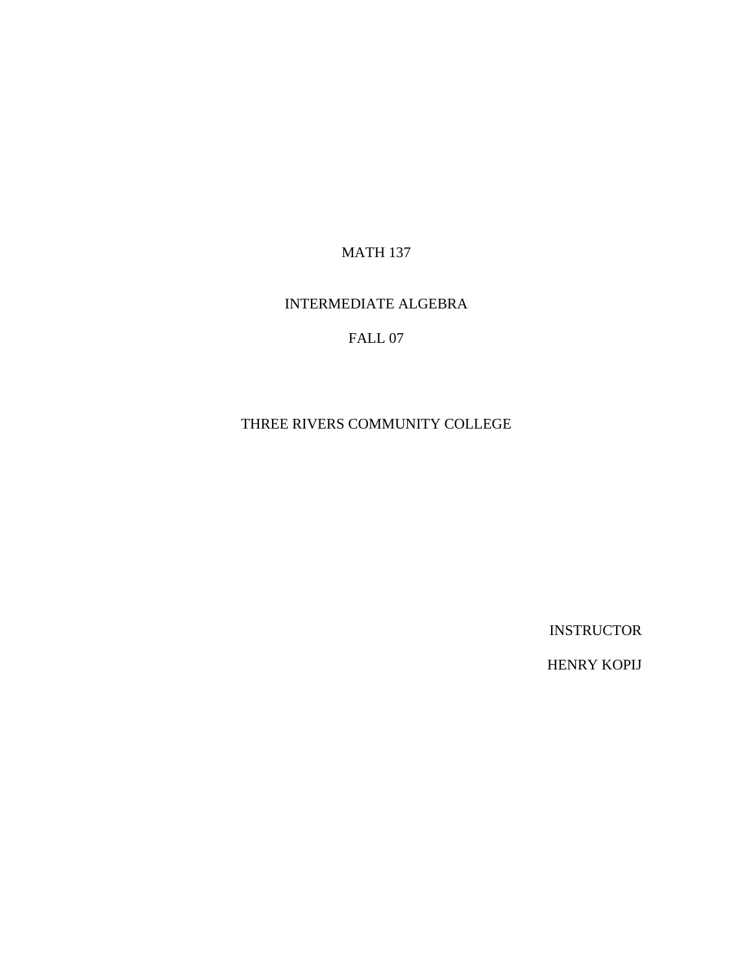MATH 137

### INTERMEDIATE ALGEBRA

# FALL 07

#### THREE RIVERS COMMUNITY COLLEGE

INSTRUCTOR

HENRY KOPIJ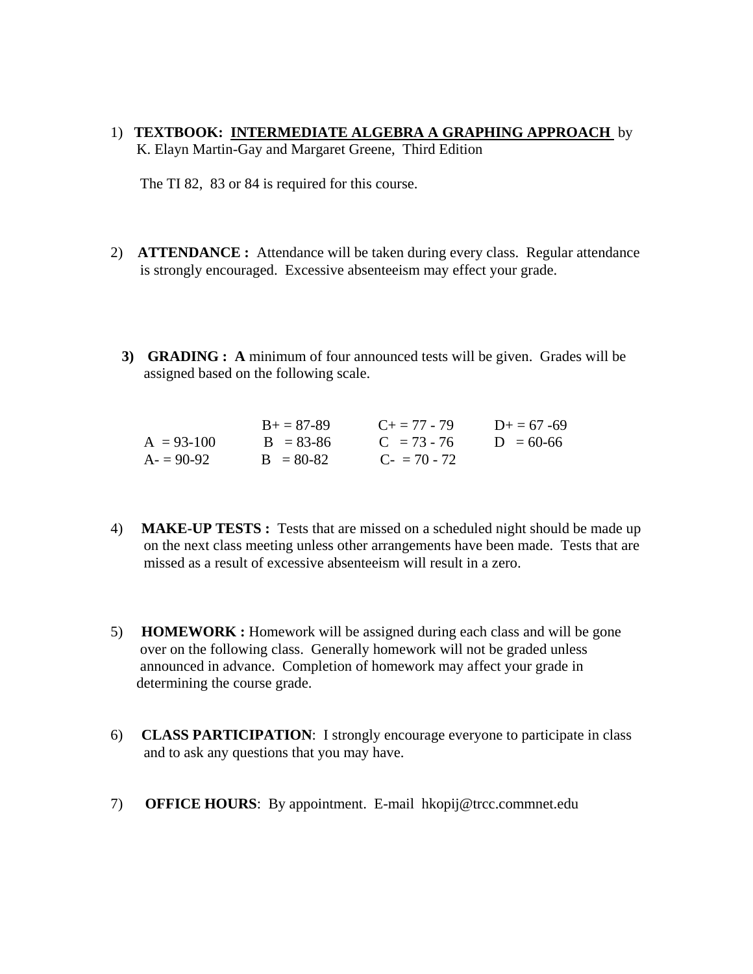1) **TEXTBOOK: INTERMEDIATE ALGEBRA A GRAPHING APPROACH** by K. Elayn Martin-Gay and Margaret Greene, Third Edition

The TI 82, 83 or 84 is required for this course.

- 2) **ATTENDANCE :** Attendance will be taken during every class. Regular attendance is strongly encouraged. Excessive absenteeism may effect your grade.
	- **3) GRADING : A** minimum of four announced tests will be given. Grades will be assigned based on the following scale.

|              | $B_{+} = 87 - 89$ | $C_{\pm} = 77 - 79$ | $D_{\pm} = 67 - 69$ |
|--------------|-------------------|---------------------|---------------------|
| $A = 93-100$ | $B = 83 - 86$     | $C = 73 - 76$       | $D = 60-66$         |
| $A = 90-92$  | $B = 80-82$       | $C_{2} = 70 - 72$   |                     |

- 4) **MAKE-UP TESTS :** Tests that are missed on a scheduled night should be made up on the next class meeting unless other arrangements have been made. Tests that are missed as a result of excessive absenteeism will result in a zero.
- 5) **HOMEWORK :** Homework will be assigned during each class and will be gone over on the following class. Generally homework will not be graded unless announced in advance. Completion of homework may affect your grade in determining the course grade.
- 6) **CLASS PARTICIPATION**: I strongly encourage everyone to participate in class and to ask any questions that you may have.
- 7) **OFFICE HOURS**: By appointment. E-mail hkopij@trcc.commnet.edu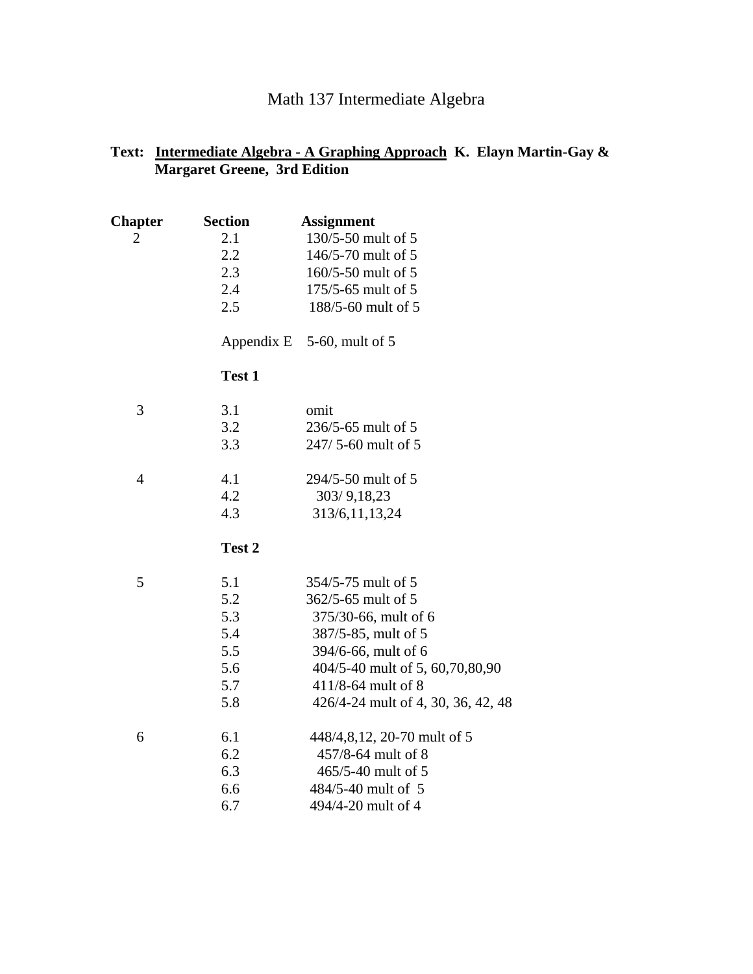# Math 137 Intermediate Algebra

## **Text: Intermediate Algebra - A Graphing Approach K. Elayn Martin-Gay & Margaret Greene, 3rd Edition**

| <b>Chapter</b> | <b>Section</b> | <b>Assignment</b>                  |
|----------------|----------------|------------------------------------|
| $\overline{2}$ | 2.1            | 130/5-50 mult of 5                 |
|                | 2.2            | 146/5-70 mult of 5                 |
|                | 2.3            | 160/5-50 mult of 5                 |
|                | 2.4            | 175/5-65 mult of 5                 |
|                | 2.5            | 188/5-60 mult of 5                 |
|                |                | Appendix E $5-60$ , mult of 5      |
|                | Test 1         |                                    |
| 3              | 3.1            | omit                               |
|                | 3.2            | 236/5-65 mult of 5                 |
|                | 3.3            | 247/5-60 mult of 5                 |
| $\overline{4}$ | 4.1            | 294/5-50 mult of 5                 |
|                | 4.2            | 303/9,18,23                        |
|                | 4.3            | 313/6, 11, 13, 24                  |
|                | Test 2         |                                    |
| 5              | 5.1            | 354/5-75 mult of 5                 |
|                | 5.2            | 362/5-65 mult of 5                 |
|                | 5.3            | 375/30-66, mult of 6               |
|                | 5.4            | 387/5-85, mult of 5                |
|                | 5.5            | 394/6-66, mult of 6                |
|                | 5.6            | 404/5-40 mult of 5, 60, 70, 80, 90 |
|                | 5.7            | 411/8-64 mult of 8                 |
|                | 5.8            | 426/4-24 mult of 4, 30, 36, 42, 48 |
| 6              | 6.1            | 448/4,8,12, 20-70 mult of 5        |
|                | 6.2            | 457/8-64 mult of 8                 |
|                | 6.3            | 465/5-40 mult of 5                 |
|                | 6.6            | 484/5-40 mult of 5                 |
|                | 6.7            | 494/4-20 mult of 4                 |